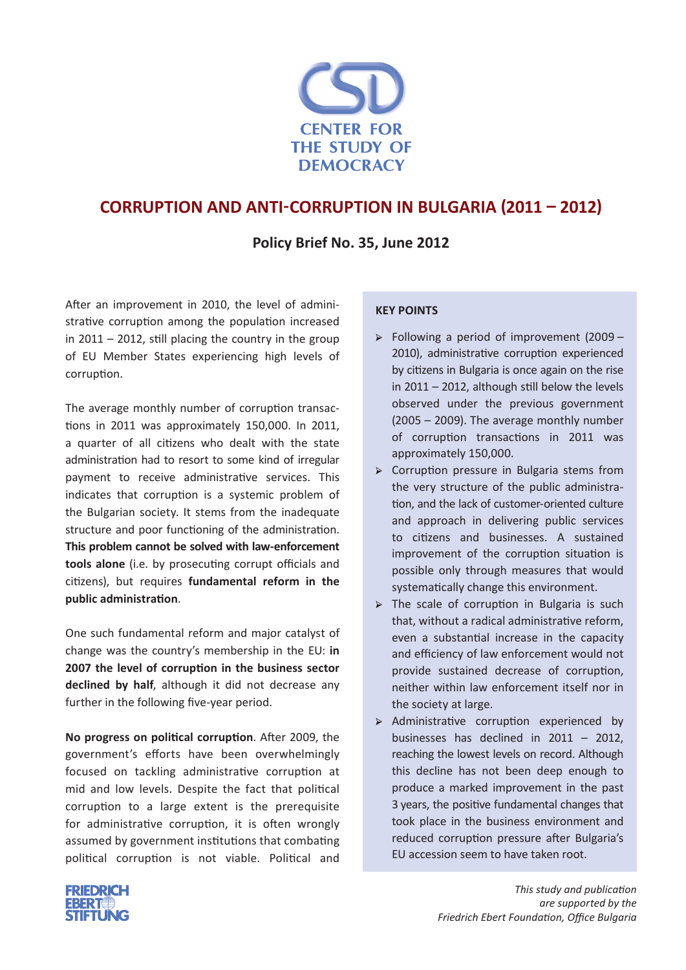

## **Corruption and Anti-corruption in Bulgaria (2011 – 2012)**

## **Policy Brief No. 35, June 2012**

After an improvement in 2010, the level of administrative corruption among the population increased in  $2011 - 2012$ , still placing the country in the group of EU Member States experiencing high levels of corruption.

The average monthly number of corruption transactions in 2011 was approximately 150,000. In 2011, a quarter of all citizens who dealt with the state administration had to resort to some kind of irregular payment to receive administrative services. This indicates that corruption is a systemic problem of the Bulgarian society. It stems from the inadequate structure and poor functioning of the administration. **This problem cannot be solved with law-enforcement tools alone** (i.e. by prosecuting corrupt officials and citizens), but requires **fundamental reform in the public administration**.

One such fundamental reform and major catalyst of change was the country's membership in the EU: **in 2007 the level of corruption in the business sector declined by half**, although it did not decrease any further in the following five-year period.

**No progress on political corruption**. After 2009, the government's efforts have been overwhelmingly focused on tackling administrative corruption at mid and low levels. Despite the fact that political corruption to a large extent is the prerequisite for administrative corruption, it is often wrongly assumed by government institutions that combating political corruption is not viable. Political and

#### **Key points**

- $\triangleright$  Following a period of improvement (2009 2010), administrative corruption experienced by citizens in Bulgaria is once again on the rise in 2011 – 2012, although still below the levels observed under the previous government (2005 – 2009). The average monthly number of corruption transactions in 2011 was approximately 150,000.
- → Corruption pressure in Bulgaria stems from the very structure of the public administration, and the lack of customer-oriented culture and approach in delivering public services to citizens and businesses. A sustained improvement of the corruption situation is possible only through measures that would systematically change this environment.
- $\triangleright$  The scale of corruption in Bulgaria is such that, without a radical administrative reform, even a substantial increase in the capacity and efficiency of law enforcement would not provide sustained decrease of corruption, neither within law enforcement itself nor in the society at large.
- → Administrative corruption experienced by businesses has declined in 2011 – 2012, reaching the lowest levels on record. Although this decline has not been deep enough to produce a marked improvement in the past 3 years, the positive fundamental changes that took place in the business environment and reduced corruption pressure after Bulgaria's EU accession seem to have taken root.

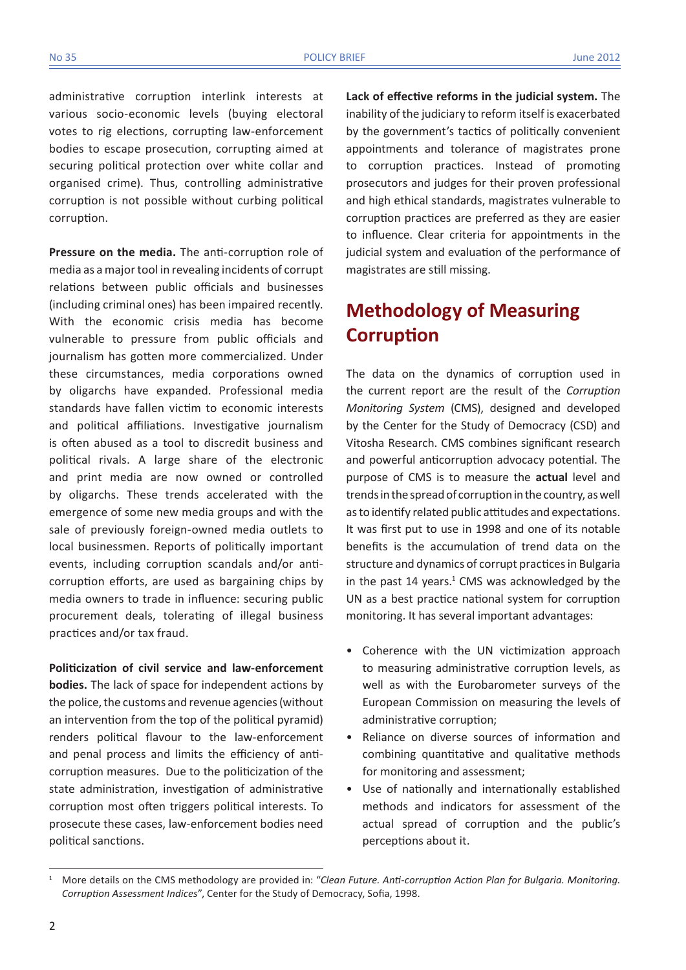administrative corruption interlink interests at various socio-economic levels (buying electoral votes to rig elections, corrupting law-enforcement bodies to escape prosecution, corrupting aimed at securing political protection over white collar and organised crime). Thus, controlling administrative corruption is not possible without curbing political corruption.

**Pressure on the media.** The anti-corruption role of media as a major tool in revealing incidents of corrupt relations between public officials and businesses (including criminal ones) has been impaired recently. With the economic crisis media has become vulnerable to pressure from public officials and journalism has gotten more commercialized. Under these circumstances, media corporations owned by oligarchs have expanded. Professional media standards have fallen victim to economic interests and political affiliations. Investigative journalism is often abused as a tool to discredit business and political rivals. A large share of the electronic and print media are now owned or controlled by oligarchs. These trends accelerated with the emergence of some new media groups and with the sale of previously foreign-owned media outlets to local businessmen. Reports of politically important events, including corruption scandals and/or anticorruption efforts, are used as bargaining chips by media owners to trade in influence: securing public procurement deals, tolerating of illegal business practices and/or tax fraud.

**Politicization of civil service and law-enforcement bodies.** The lack of space for independent actions by the police, the customs and revenue agencies (without an intervention from the top of the political pyramid) renders political flavour to the law-enforcement and penal process and limits the efficiency of anticorruption measures. Due to the politicization of the state administration, investigation of administrative corruption most often triggers political interests. To prosecute these cases, law-enforcement bodies need political sanctions.

**Lack of effective reforms in the judicial system.** The inability of the judiciary to reform itself is exacerbated by the government's tactics of politically convenient appointments and tolerance of magistrates prone to corruption practices. Instead of promoting prosecutors and judges for their proven professional and high ethical standards, magistrates vulnerable to corruption practices are preferred as they are easier to influence. Clear criteria for appointments in the judicial system and evaluation of the performance of magistrates are still missing.

# **Methodology of Measuring corruption**

The data on the dynamics of corruption used in the current report are the result of the *Corruption Monitoring System* (CMS), designed and developed by the Center for the Study of Democracy (CSD) and Vitosha Research. CMS combines significant research and powerful anticorruption advocacy potential. The purpose of CMS is to measure the **actual** level and trends in the spread of corruption in the country, as well as to identify related public attitudes and expectations. It was first put to use in 1998 and one of its notable benefits is the accumulation of trend data on the structure and dynamics of corrupt practices in Bulgaria in the past  $14$  years.<sup>1</sup> CMS was acknowledged by the UN as a best practice national system for corruption monitoring. It has several important advantages:

- Coherence with the UN victimization approach to measuring administrative corruption levels, as well as with the Eurobarometer surveys of the European Commission on measuring the levels of administrative corruption;
- Reliance on diverse sources of information and combining quantitative and qualitative methods for monitoring and assessment;
- Use of nationally and internationally established methods and indicators for assessment of the actual spread of corruption and the public's perceptions about it.

<sup>1</sup> More details on the CMS methodology are provided in: "*Clean Future. Anti-corruption Action Plan for Bulgaria. Monitoring. Corruption Assessment Indices*", Center for the Study of Democracy, Sofia, 1998.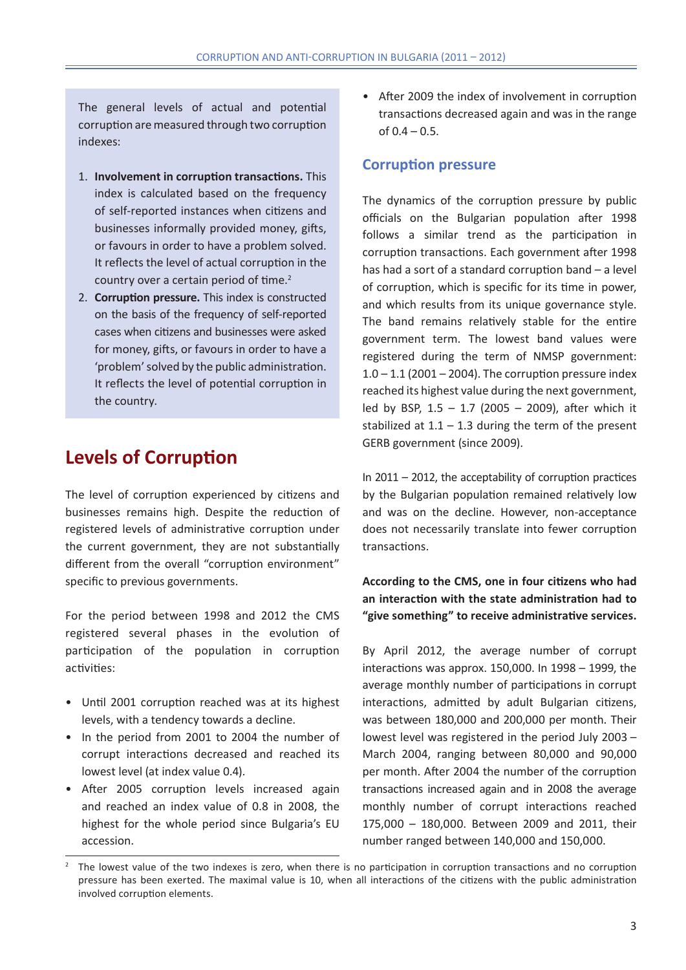The general levels of actual and potential corruption are measured through two corruption indexes:

- 1. **Involvement in corruption transactions.** This index is calculated based on the frequency of self-reported instances when citizens and businesses informally provided money, gifts, or favours in order to have a problem solved. It reflects the level of actual corruption in the country over a certain period of time.<sup>2</sup>
- 2. **Corruption pressure.** This index is constructed on the basis of the frequency of self-reported cases when citizens and businesses were asked for money, gifts, or favours in order to have a 'problem' solved by the public administration. It reflects the level of potential corruption in the country.

## **Levels of corruption**

The level of corruption experienced by citizens and businesses remains high. Despite the reduction of registered levels of administrative corruption under the current government, they are not substantially different from the overall "corruption environment" specific to previous governments.

For the period between 1998 and 2012 the CMS registered several phases in the evolution of participation of the population in corruption activities:

- Until 2001 corruption reached was at its highest levels, with a tendency towards a decline.
- In the period from 2001 to 2004 the number of corrupt interactions decreased and reached its lowest level (at index value 0.4).
- After 2005 corruption levels increased again and reached an index value of 0.8 in 2008, the highest for the whole period since Bulgaria's EU accession.

• After 2009 the index of involvement in corruption transactions decreased again and was in the range of  $0.4 - 0.5$ .

### **Corruption pressure**

The dynamics of the corruption pressure by public officials on the Bulgarian population after 1998 follows a similar trend as the participation in corruption transactions. Each government after 1998 has had a sort of a standard corruption band – a level of corruption, which is specific for its time in power, and which results from its unique governance style. The band remains relatively stable for the entire government term. The lowest band values were registered during the term of NMSP government:  $1.0 - 1.1$  (2001 – 2004). The corruption pressure index reached its highest value during the next government, led by BSP,  $1.5 - 1.7$  (2005 – 2009), after which it stabilized at  $1.1 - 1.3$  during the term of the present GERB government (since 2009).

In 2011 – 2012, the acceptability of corruption practices by the Bulgarian population remained relatively low and was on the decline. However, non-acceptance does not necessarily translate into fewer corruption transactions.

### **According to the CMS, one in four citizens who had an interaction with the state administration had to "give something" to receive administrative services.**

By April 2012, the average number of corrupt interactions was approx. 150,000. In 1998 – 1999, the average monthly number of participations in corrupt interactions, admitted by adult Bulgarian citizens, was between 180,000 and 200,000 per month. Their lowest level was registered in the period July 2003 – March 2004, ranging between 80,000 and 90,000 per month. After 2004 the number of the corruption transactions increased again and in 2008 the average monthly number of corrupt interactions reached 175,000 – 180,000. Between 2009 and 2011, their number ranged between 140,000 and 150,000.

<sup>2</sup> The lowest value of the two indexes is zero, when there is no participation in corruption transactions and no corruption pressure has been exerted. The maximal value is 10, when all interactions of the citizens with the public administration involved corruption elements.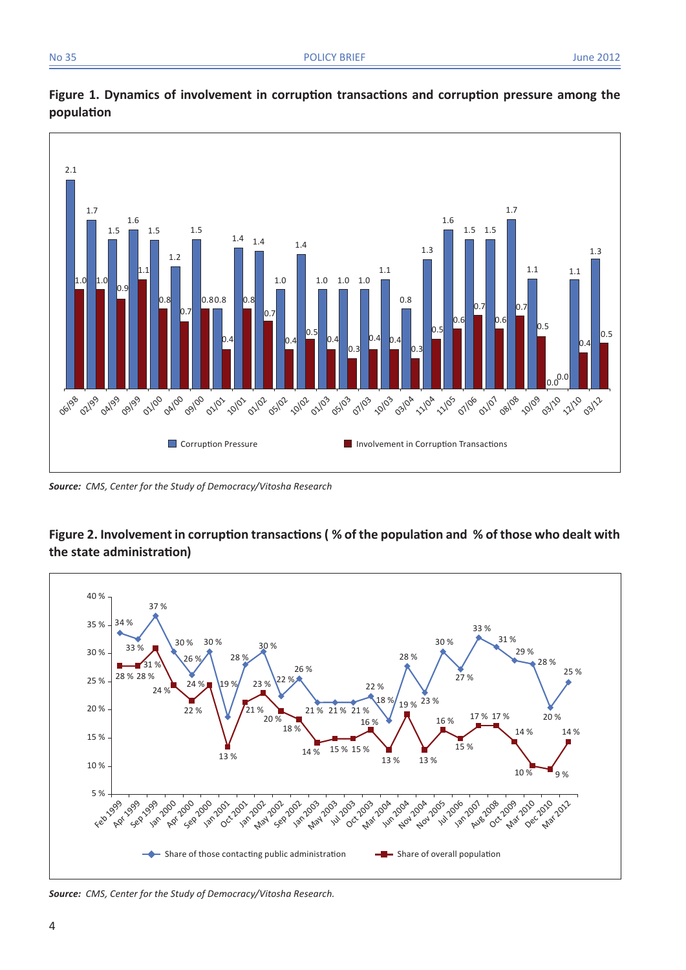



*Source: CMS, Center for the Study of Democracy/Vitosha Research*

### **Figure 2. Involvement in corruption transactions ( % of the population and % of those who dealt with the state administration)**



*Source: CMS, Center for the Study of Democracy/Vitosha Research.*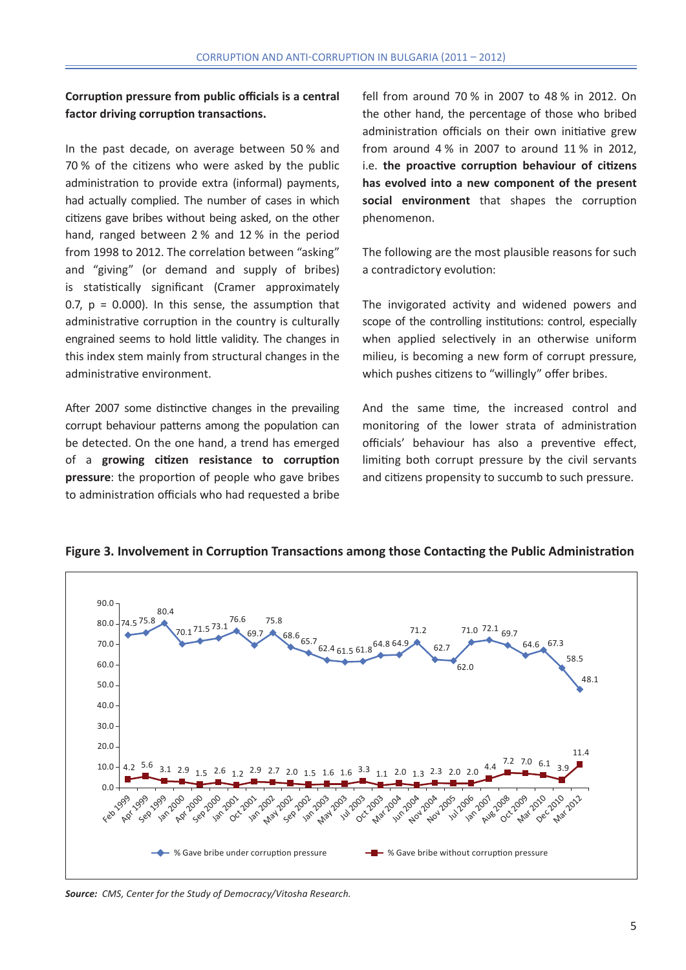### **Corruption pressure from public officials is a central factor driving corruption transactions.**

In the past decade, on average between 50 % and 70 % of the citizens who were asked by the public administration to provide extra (informal) payments, had actually complied. The number of cases in which citizens gave bribes without being asked, on the other hand, ranged between 2 % and 12 % in the period from 1998 to 2012. The correlation between "asking" and "giving" (or demand and supply of bribes) is statistically significant (Cramer approximately 0.7,  $p = 0.000$ ). In this sense, the assumption that administrative corruption in the country is culturally engrained seems to hold little validity. The changes in this index stem mainly from structural changes in the administrative environment.

After 2007 some distinctive changes in the prevailing corrupt behaviour patterns among the population can be detected. On the one hand, a trend has emerged of a **growing citizen resistance to corruption pressure**: the proportion of people who gave bribes to administration officials who had requested a bribe fell from around 70 % in 2007 to 48 % in 2012. On the other hand, the percentage of those who bribed administration officials on their own initiative grew from around 4 % in 2007 to around 11 % in 2012, i.e. **the proactive corruption behaviour of citizens has evolved into a new component of the present social environment** that shapes the corruption phenomenon.

The following are the most plausible reasons for such a contradictory evolution:

The invigorated activity and widened powers and scope of the controlling institutions: control, especially when applied selectively in an otherwise uniform milieu, is becoming a new form of corrupt pressure, which pushes citizens to "willingly" offer bribes.

And the same time, the increased control and monitoring of the lower strata of administration officials' behaviour has also a preventive effect, limiting both corrupt pressure by the civil servants and citizens propensity to succumb to such pressure.



**Figure 3. Involvement in Corruption Transactions among those Contacting the Public Administration** 

*Source: CMS, Center for the Study of Democracy/Vitosha Research.*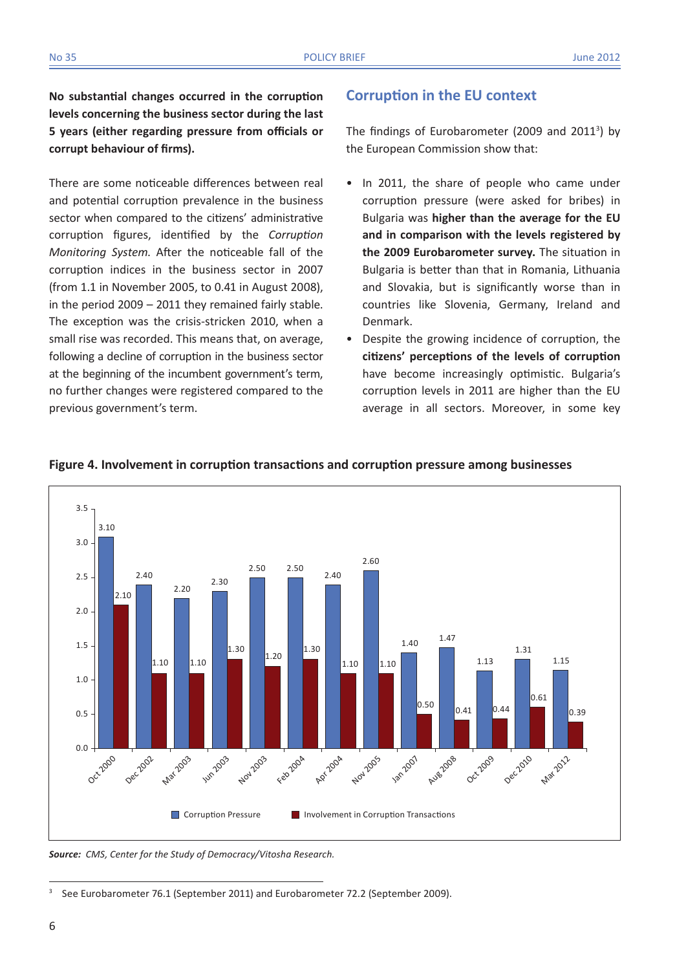**No substantial changes occurred in the corruption levels concerning the business sector during the last 5 years (either regarding pressure from officials or corrupt behaviour of firms).** 

There are some noticeable differences between real and potential corruption prevalence in the business sector when compared to the citizens' administrative corruption figures, identified by the *Corruption Monitoring System*. After the noticeable fall of the corruption indices in the business sector in 2007 (from 1.1 in November 2005, to 0.41 in August 2008), in the period 2009 – 2011 they remained fairly stable. The exception was the crisis-stricken 2010, when a small rise was recorded. This means that, on average, following a decline of corruption in the business sector at the beginning of the incumbent government's term, no further changes were registered compared to the previous government's term.

### **Corruption in the EU context**

The findings of Eurobarometer (2009 and 2011<sup>3</sup>) by the European Commission show that:

- In 2011, the share of people who came under corruption pressure (were asked for bribes) in Bulgaria was **higher than the average for the EU and in comparison with the levels registered by the 2009 Eurobarometer survey.** The situation in Bulgaria is better than that in Romania, Lithuania and Slovakia, but is significantly worse than in countries like Slovenia, Germany, Ireland and Denmark.
- Despite the growing incidence of corruption, the **citizens' perceptions of the levels of corruption**  have become increasingly optimistic. Bulgaria's corruption levels in 2011 are higher than the EU average in all sectors. Moreover, in some key



#### **Figure 4. Involvement in corruption transactions and corruption pressure among businesses**

*Source: CMS, Center for the Study of Democracy/Vitosha Research.*

<sup>&</sup>lt;sup>3</sup> See Eurobarometer 76.1 (September 2011) and Eurobarometer 72.2 (September 2009).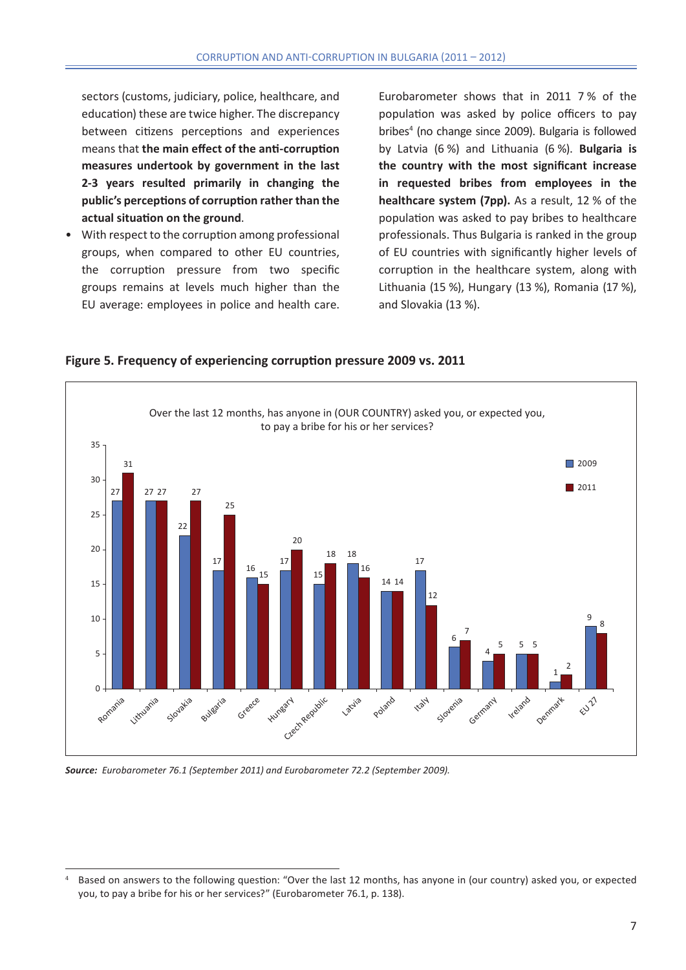sectors (customs, judiciary, police, healthcare, and education) these are twice higher. The discrepancy between citizens perceptions and experiences means that **the main effect of the anti-corruption measures undertook by government in the last 2-3 years resulted primarily in changing the public's perceptions of corruption rather than the actual situation on the ground**.

• With respect to the corruption among professional groups, when compared to other EU countries, the corruption pressure from two specific groups remains at levels much higher than the EU average: employees in police and health care.

Eurobarometer shows that in 2011 7 % of the population was asked by police officers to pay bribes<sup>4</sup> (no change since 2009). Bulgaria is followed by Latvia (6 %) and Lithuania (6 %). **Bulgaria is the country with the most significant increase in requested bribes from employees in the healthcare system (7pp).** As a result, 12 % of the population was asked to pay bribes to healthcare professionals. Thus Bulgaria is ranked in the group of EU countries with significantly higher levels of corruption in the healthcare system, along with Lithuania (15 %), Hungary (13 %), Romania (17 %), and Slovakia (13 %).

6

Slovenia

7

4

Germany

5

5 5

Ireland

1

Denmark

2

9

 $\epsilon^{U^{\hat{\mathcal{U}}}}$ 



**Figure 5. Frequency of experiencing corruption pressure 2009 vs. 2011**

Greece

**Hungary** 

Czech Republic

 $\Omega$ 

Romania

Lithuania

Slovakia

Bulgaria

5

<sup>8</sup> <sup>10</sup>

Latvia

Poland

**ITaly** 

*Source: Eurobarometer 76.1 (September 2011) and Eurobarometer 72.2 (September 2009).* 

<sup>4</sup> Based on answers to the following question: "Over the last 12 months, has anyone in (our country) asked you, or expected you, to pay a bribe for his or her services?" (Eurobarometer 76.1, p. 138).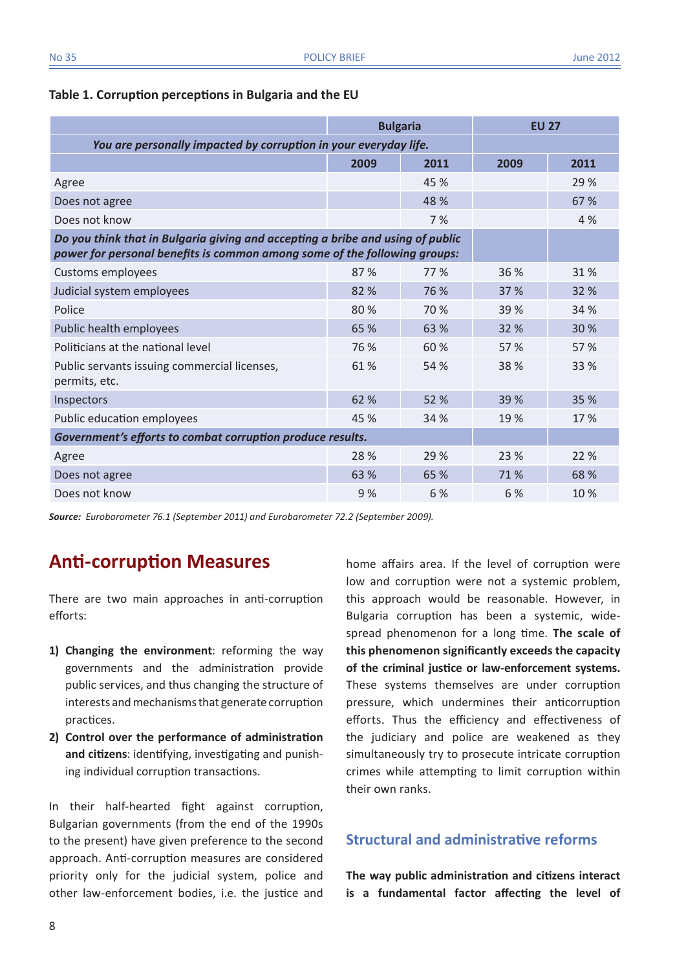|                                                                                                                                                             | <b>Bulgaria</b> |      | <b>EU 27</b> |      |  |  |
|-------------------------------------------------------------------------------------------------------------------------------------------------------------|-----------------|------|--------------|------|--|--|
| You are personally impacted by corruption in your everyday life.                                                                                            |                 |      |              |      |  |  |
|                                                                                                                                                             | 2009            | 2011 | 2009         | 2011 |  |  |
| Agree                                                                                                                                                       |                 | 45 % |              | 29 % |  |  |
| Does not agree                                                                                                                                              |                 | 48 % |              | 67 % |  |  |
| Does not know                                                                                                                                               |                 | 7%   |              | 4%   |  |  |
| Do you think that in Bulgaria giving and accepting a bribe and using of public<br>power for personal benefits is common among some of the following groups: |                 |      |              |      |  |  |
| <b>Customs employees</b>                                                                                                                                    | 87%             | 77 % | 36 %         | 31 % |  |  |
| Judicial system employees                                                                                                                                   | 82 %            | 76 % | 37 %         | 32 % |  |  |
| Police                                                                                                                                                      | 80%             | 70 % | 39 %         | 34 % |  |  |
| Public health employees                                                                                                                                     | 65 %            | 63 % | 32 %         | 30 % |  |  |
| Politicians at the national level                                                                                                                           | 76 %            | 60 % | 57 %         | 57 % |  |  |
| Public servants issuing commercial licenses,<br>permits, etc.                                                                                               | 61 %            | 54 % | 38 %         | 33 % |  |  |
| Inspectors                                                                                                                                                  | 62 %            | 52 % | 39 %         | 35 % |  |  |
| Public education employees                                                                                                                                  | 45 %            | 34 % | 19%          | 17 % |  |  |
| Government's efforts to combat corruption produce results.                                                                                                  |                 |      |              |      |  |  |
| Agree                                                                                                                                                       | 28 %            | 29 % | 23 %         | 22 % |  |  |
| Does not agree                                                                                                                                              | 63 %            | 65 % | 71%          | 68 % |  |  |
| Does not know                                                                                                                                               | 9%              | 6 %  | 6 %          | 10 % |  |  |

### **Table 1. Corruption perceptions in Bulgaria and the EU**

*Source: Eurobarometer 76.1 (September 2011) and Eurobarometer 72.2 (September 2009).*

# **Anti-corruption Measures**

There are two main approaches in anti-corruption efforts:

- **1) Changing the environment**: reforming the way governments and the administration provide public services, and thus changing the structure of interests and mechanisms that generate corruption practices.
- **2) Control over the performance of administration and citizens**: identifying, investigating and punishing individual corruption transactions.

In their half-hearted fight against corruption, Bulgarian governments (from the end of the 1990s to the present) have given preference to the second approach. Anti-corruption measures are considered priority only for the judicial system, police and other law-enforcement bodies, i.e. the justice and home affairs area. If the level of corruption were low and corruption were not a systemic problem, this approach would be reasonable. However, in Bulgaria corruption has been a systemic, widespread phenomenon for a long time. **The scale of this phenomenon significantly exceeds the capacity of the criminal justice or law-enforcement systems.**  These systems themselves are under corruption pressure, which undermines their anticorruption efforts. Thus the efficiency and effectiveness of the judiciary and police are weakened as they simultaneously try to prosecute intricate corruption crimes while attempting to limit corruption within their own ranks.

### **Structural and administrative reforms**

**The way public administration and citizens interact is a fundamental factor affecting the level of**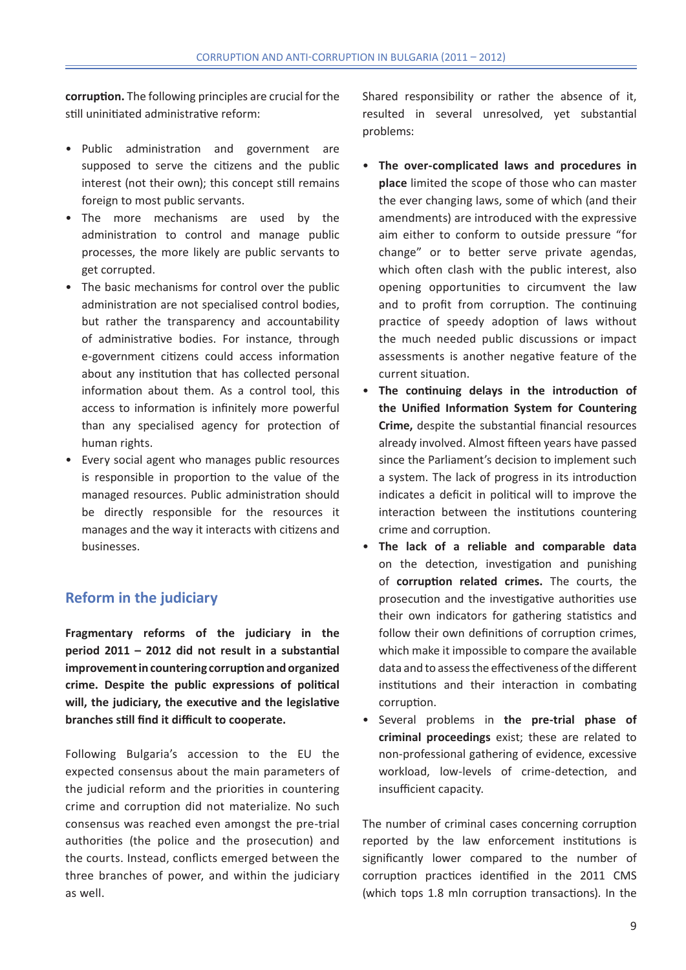**corruption.** The following principles are crucial for the still uninitiated administrative reform:

- Public administration and government are supposed to serve the citizens and the public interest (not their own); this concept still remains foreign to most public servants.
- The more mechanisms are used by the administration to control and manage public processes, the more likely are public servants to get corrupted.
- The basic mechanisms for control over the public administration are not specialised control bodies, but rather the transparency and accountability of administrative bodies. For instance, through e-government citizens could access information about any institution that has collected personal information about them. As a control tool, this access to information is infinitely more powerful than any specialised agency for protection of human rights.
- Every social agent who manages public resources is responsible in proportion to the value of the managed resources. Public administration should be directly responsible for the resources it manages and the way it interacts with citizens and businesses.

## **Reform in the judiciary**

**Fragmentary reforms of the judiciary in the period 2011 – 2012 did not result in a substantial improvement in countering corruption and organized crime. Despite the public expressions of political will, the judiciary, the executive and the legislative branches still find it difficult to cooperate.** 

Following Bulgaria's accession to the EU the expected consensus about the main parameters of the judicial reform and the priorities in countering crime and corruption did not materialize. No such consensus was reached even amongst the pre-trial authorities (the police and the prosecution) and the courts. Instead, conflicts emerged between the three branches of power, and within the judiciary as well.

Shared responsibility or rather the absence of it, resulted in several unresolved, yet substantial problems:

- • **The over-complicated laws and procedures in place** limited the scope of those who can master the ever changing laws, some of which (and their amendments) are introduced with the expressive aim either to conform to outside pressure "for change" or to better serve private agendas, which often clash with the public interest, also opening opportunities to circumvent the law and to profit from corruption. The continuing practice of speedy adoption of laws without the much needed public discussions or impact assessments is another negative feature of the current situation.
- The continuing delays in the introduction of **the Unified Information System for Countering Crime,** despite the substantial financial resources already involved. Almost fifteen years have passed since the Parliament's decision to implement such a system. The lack of progress in its introduction indicates a deficit in political will to improve the interaction between the institutions countering crime and corruption.
- • **The lack of a reliable and comparable data**  on the detection, investigation and punishing of **corruption related crimes.** The courts, the prosecution and the investigative authorities use their own indicators for gathering statistics and follow their own definitions of corruption crimes, which make it impossible to compare the available data and to assess the effectiveness of the different institutions and their interaction in combating corruption.
- • Several problems in **the pre-trial phase of criminal proceedings** exist; these are related to non-professional gathering of evidence, excessive workload, low-levels of crime-detection, and insufficient capacity.

The number of criminal cases concerning corruption reported by the law enforcement institutions is significantly lower compared to the number of corruption practices identified in the 2011 CMS (which tops 1.8 mln corruption transactions). In the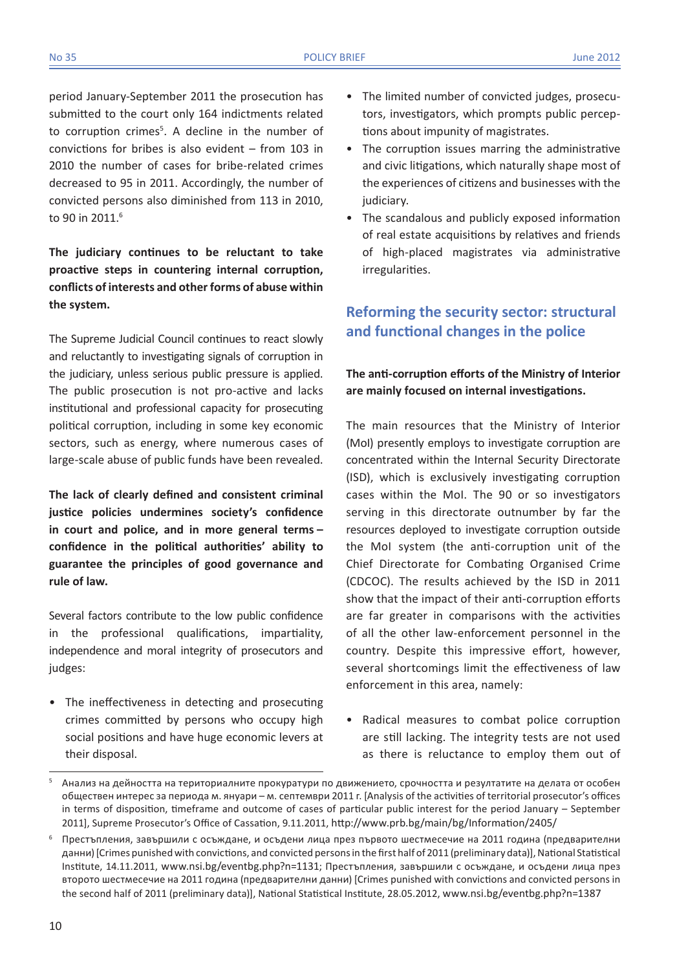period January-September 2011 the prosecution has submitted to the court only 164 indictments related to corruption crimes<sup>5</sup>. A decline in the number of convictions for bribes is also evident – from 103 in 2010 the number of cases for bribe-related crimes decreased to 95 in 2011. Accordingly, the number of convicted persons also diminished from 113 in 2010, to 90 in 2011.<sup>6</sup>

**The judiciary continues to be reluctant to take proactive steps in countering internal corruption, conflicts of interests and other forms of abuse within the system.**

The Supreme Judicial Council continues to react slowly and reluctantly to investigating signals of corruption in the judiciary, unless serious public pressure is applied. The public prosecution is not pro-active and lacks institutional and professional capacity for prosecuting political corruption, including in some key economic sectors, such as energy, where numerous cases of large-scale abuse of public funds have been revealed.

**The lack of clearly defined and consistent criminal justice policies undermines society's confidence in court and police, and in more general terms – confidence in the political authorities' ability to guarantee the principles of good governance and rule of law.** 

Several factors contribute to the low public confidence in the professional qualifications, impartiality, independence and moral integrity of prosecutors and judges:

• The ineffectiveness in detecting and prosecuting crimes committed by persons who occupy high social positions and have huge economic levers at their disposal.

- The limited number of convicted judges, prosecutors, investigators, which prompts public perceptions about impunity of magistrates.
- The corruption issues marring the administrative and civic litigations, which naturally shape most of the experiences of citizens and businesses with the judiciary.
- The scandalous and publicly exposed information of real estate acquisitions by relatives and friends of high-placed magistrates via administrative irregularities.

## **Reforming the security sector: structural and functional changes in the police**

### **The anti-corruption efforts of the Ministry of Interior are mainly focused on internal investigations.**

The main resources that the Ministry of Interior (MoI) presently employs to investigate corruption are concentrated within the Internal Security Directorate (ISD), which is exclusively investigating corruption cases within the MoI. The 90 or so investigators serving in this directorate outnumber by far the resources deployed to investigate corruption outside the MoI system (the anti-corruption unit of the Chief Directorate for Combating Organised Crime (CDCOC). The results achieved by the ISD in 2011 show that the impact of their anti-corruption efforts are far greater in comparisons with the activities of all the other law-enforcement personnel in the country. Despite this impressive effort, however, several shortcomings limit the effectiveness of law enforcement in this area, namely:

• Radical measures to combat police corruption are still lacking. The integrity tests are not used as there is reluctance to employ them out of

<sup>5</sup> Анализ на дейността на териториалните прокуратури по движението, срочността и резултатите на делата от особен обществен интерес за периода м. януари – м. септември 2011 г. [Analysis of the activities of territorial prosecutor's offices in terms of disposition, timeframe and outcome of cases of particular public interest for the period January – September 2011], Supreme Prosecutor's Office of Cassation, 9.11.2011, http://www.prb.bg/main/bg/Information/2405/

<sup>6</sup> Престъпления, завършили с осъждане, и осъдени лица през първото шестмесечие на 2011 година (предварителни данни) [Crimes punished with convictions, and convicted persons in the first half of 2011 (preliminary data)], National Statistical Institute, 14.11.2011, www.nsi.bg/eventbg.php?n=1131; Престъпления, завършили с осъждане, и осъдени лица през второто шестмесечие на 2011 година (предварителни данни) [Crimes punished with convictions and convicted persons in the second half of 2011 (preliminary data)], National Statistical Institute, 28.05.2012, www.nsi.bg/eventbg.php?n=1387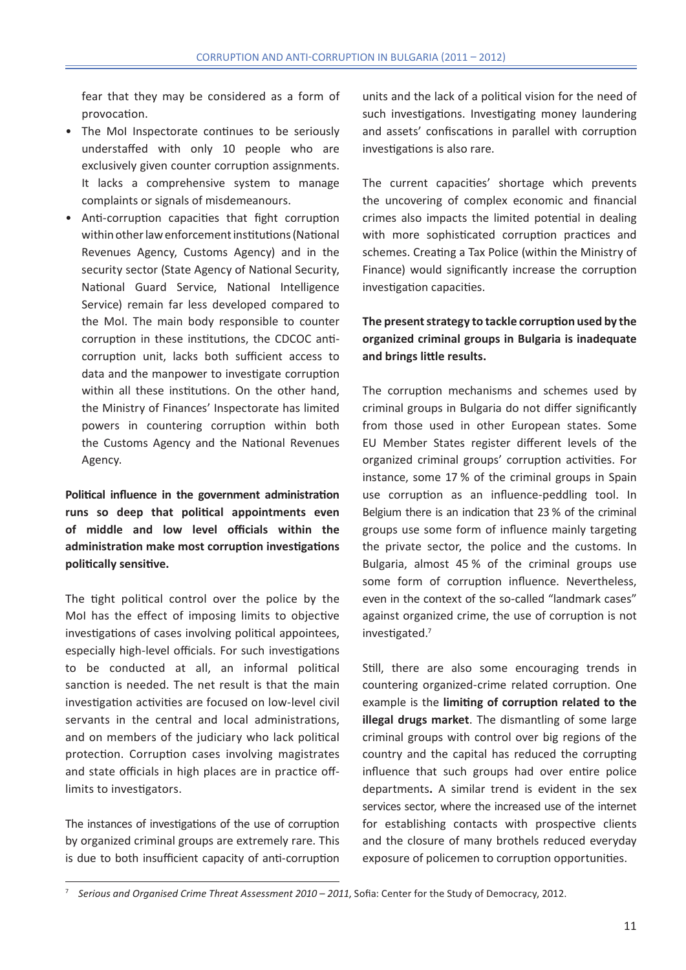fear that they may be considered as a form of provocation.

- The MoI Inspectorate continues to be seriously understaffed with only 10 people who are exclusively given counter corruption assignments. It lacks a comprehensive system to manage complaints or signals of misdemeanours.
- Anti-corruption capacities that fight corruption within other law enforcement institutions (National Revenues Agency, Customs Agency) and in the security sector (State Agency of National Security, National Guard Service, National Intelligence Service) remain far less developed compared to the MoI. The main body responsible to counter corruption in these institutions, the CDCOC anticorruption unit, lacks both sufficient access to data and the manpower to investigate corruption within all these institutions. On the other hand, the Ministry of Finances' Inspectorate has limited powers in countering corruption within both the Customs Agency and the National Revenues Agency.

**Political influence in the government administration runs so deep that political appointments even of middle and low level officials within the administration make most corruption investigations politically sensitive.**

The tight political control over the police by the MoI has the effect of imposing limits to objective investigations of cases involving political appointees, especially high-level officials. For such investigations to be conducted at all, an informal political sanction is needed. The net result is that the main investigation activities are focused on low-level civil servants in the central and local administrations, and on members of the judiciary who lack political protection. Corruption cases involving magistrates and state officials in high places are in practice offlimits to investigators.

The instances of investigations of the use of corruption by organized criminal groups are extremely rare. This is due to both insufficient capacity of anti-corruption units and the lack of a political vision for the need of such investigations. Investigating money laundering and assets' confiscations in parallel with corruption investigations is also rare.

The current capacities' shortage which prevents the uncovering of complex economic and financial crimes also impacts the limited potential in dealing with more sophisticated corruption practices and schemes. Creating a Tax Police (within the Ministry of Finance) would significantly increase the corruption investigation capacities.

### **The present strategy to tackle corruption used by the organized criminal groups in Bulgaria is inadequate and brings little results.**

The corruption mechanisms and schemes used by criminal groups in Bulgaria do not differ significantly from those used in other European states. Some EU Member States register different levels of the organized criminal groups' corruption activities. For instance, some 17 % of the criminal groups in Spain use corruption as an influence-peddling tool. In Belgium there is an indication that 23 % of the criminal groups use some form of influence mainly targeting the private sector, the police and the customs. In Bulgaria, almost 45 % of the criminal groups use some form of corruption influence. Nevertheless, even in the context of the so-called "landmark cases" against organized crime, the use of corruption is not investigated.7

Still, there are also some encouraging trends in countering organized-crime related corruption. One example is the **limiting of corruption related to the illegal drugs market**. The dismantling of some large criminal groups with control over big regions of the country and the capital has reduced the corrupting influence that such groups had over entire police departments**.** A similar trend is evident in the sex services sector, where the increased use of the internet for establishing contacts with prospective clients and the closure of many brothels reduced everyday exposure of policemen to corruption opportunities.

<sup>7</sup> *Serious and Organised Crime Threat Assessment 2010 – 2011*, Sofia: Center for the Study of Democracy, 2012.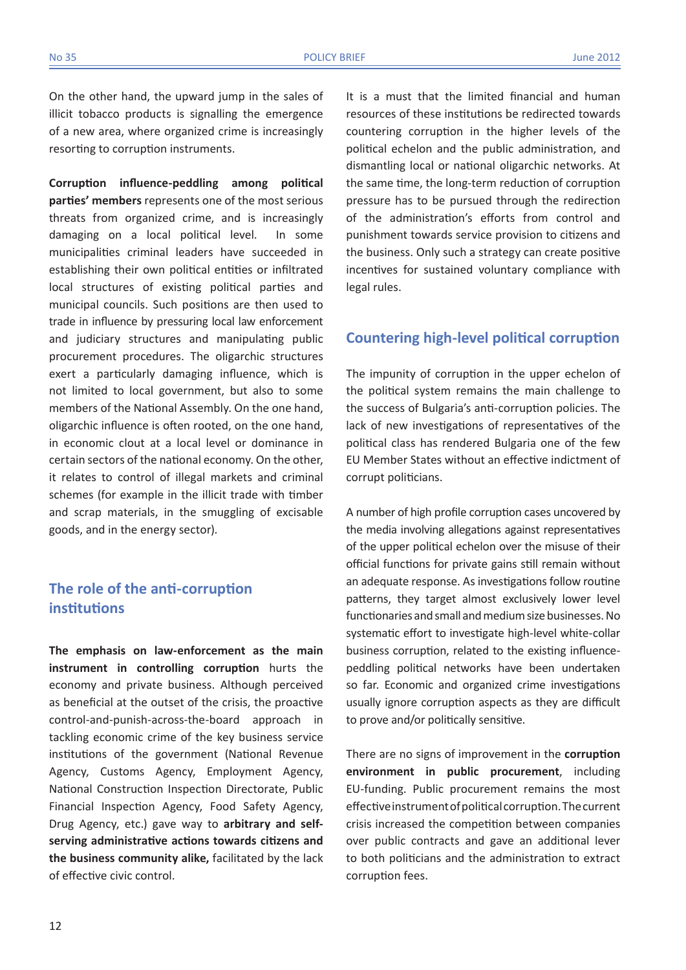On the other hand, the upward jump in the sales of illicit tobacco products is signalling the emergence of a new area, where organized crime is increasingly resorting to corruption instruments.

**Corruption influence-peddling among political parties' members** represents one of the most serious threats from organized crime, and is increasingly damaging on a local political level. In some municipalities criminal leaders have succeeded in establishing their own political entities or infiltrated local structures of existing political parties and municipal councils. Such positions are then used to trade in influence by pressuring local law enforcement and judiciary structures and manipulating public procurement procedures. The oligarchic structures exert a particularly damaging influence, which is not limited to local government, but also to some members of the National Assembly. On the one hand, oligarchic influence is often rooted, on the one hand, in economic clout at a local level or dominance in certain sectors of the national economy. On the other, it relates to control of illegal markets and criminal schemes (for example in the illicit trade with timber and scrap materials, in the smuggling of excisable goods, and in the energy sector).

## **The role of the anti-corruption institutions**

**The emphasis on law-enforcement as the main instrument in controlling corruption** hurts the economy and private business. Although perceived as beneficial at the outset of the crisis, the proactive control-and-punish-across-the-board approach in tackling economic crime of the key business service institutions of the government (National Revenue Agency, Customs Agency, Employment Agency, National Construction Inspection Directorate, Public Financial Inspection Agency, Food Safety Agency, Drug Agency, etc.) gave way to **arbitrary and selfserving administrative actions towards citizens and the business community alike,** facilitated by the lack of effective civic control.

It is a must that the limited financial and human resources of these institutions be redirected towards countering corruption in the higher levels of the political echelon and the public administration, and dismantling local or national oligarchic networks. At the same time, the long-term reduction of corruption pressure has to be pursued through the redirection of the administration's efforts from control and punishment towards service provision to citizens and the business. Only such a strategy can create positive incentives for sustained voluntary compliance with legal rules.

### **Countering high-level political corruption**

The impunity of corruption in the upper echelon of the political system remains the main challenge to the success of Bulgaria's anti-corruption policies. The lack of new investigations of representatives of the political class has rendered Bulgaria one of the few EU Member States without an effective indictment of corrupt politicians.

A number of high profile corruption cases uncovered by the media involving allegations against representatives of the upper political echelon over the misuse of their official functions for private gains still remain without an adequate response. As investigations follow routine patterns, they target almost exclusively lower level functionaries and small and medium size businesses. No systematic effort to investigate high-level white-collar business corruption, related to the existing influencepeddling political networks have been undertaken so far. Economic and organized crime investigations usually ignore corruption aspects as they are difficult to prove and/or politically sensitive.

There are no signs of improvement in the **corruption environment in public procurement**, including EU-funding. Public procurement remains the most effective instrument of political corruption. The current crisis increased the competition between companies over public contracts and gave an additional lever to both politicians and the administration to extract corruption fees.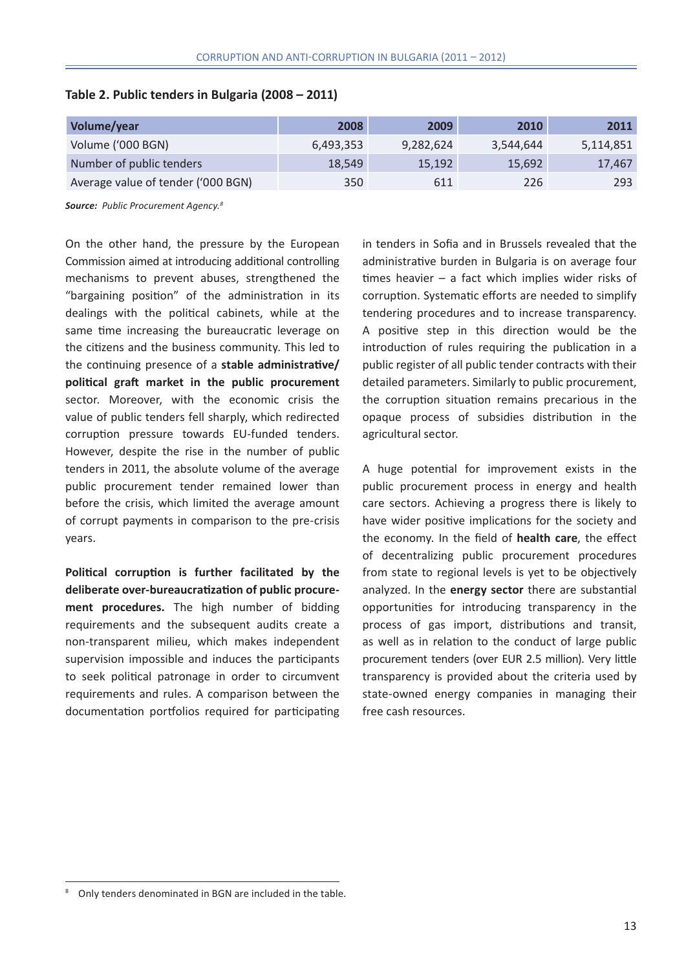| Volume/year                        | 2008      | 2009      | 2010      | 2011      |
|------------------------------------|-----------|-----------|-----------|-----------|
| Volume ('000 BGN)                  | 6,493,353 | 9,282,624 | 3,544,644 | 5,114,851 |
| Number of public tenders           | 18,549    | 15,192    | 15,692    | 17,467    |
| Average value of tender ('000 BGN) | 350       | 611       | 226       | 293       |

#### **Table 2. Public tenders in Bulgaria (2008 – 2011)**

*Source: Public Procurement Agency.<sup>8</sup>*

On the other hand, the pressure by the European Commission aimed at introducing additional controlling mechanisms to prevent abuses, strengthened the "bargaining position" of the administration in its dealings with the political cabinets, while at the same time increasing the bureaucratic leverage on the citizens and the business community. This led to the continuing presence of a **stable administrative/ political graft market in the public procurement**  sector. Moreover, with the economic crisis the value of public tenders fell sharply, which redirected corruption pressure towards EU-funded tenders. However, despite the rise in the number of public tenders in 2011, the absolute volume of the average public procurement tender remained lower than before the crisis, which limited the average amount of corrupt payments in comparison to the pre-crisis years.

**Political corruption is further facilitated by the deliberate over-bureaucratization of public procurement procedures.** The high number of bidding requirements and the subsequent audits create a non-transparent milieu, which makes independent supervision impossible and induces the participants to seek political patronage in order to circumvent requirements and rules. A comparison between the documentation portfolios required for participating in tenders in Sofia and in Brussels revealed that the administrative burden in Bulgaria is on average four times heavier – a fact which implies wider risks of corruption. Systematic efforts are needed to simplify tendering procedures and to increase transparency. A positive step in this direction would be the introduction of rules requiring the publication in a public register of all public tender contracts with their detailed parameters. Similarly to public procurement, the corruption situation remains precarious in the opaque process of subsidies distribution in the agricultural sector.

A huge potential for improvement exists in the public procurement process in energy and health care sectors. Achieving a progress there is likely to have wider positive implications for the society and the economy. In the field of **health care**, the effect of decentralizing public procurement procedures from state to regional levels is yet to be objectively analyzed. In the **energy sector** there are substantial opportunities for introducing transparency in the process of gas import, distributions and transit, as well as in relation to the conduct of large public procurement tenders (over EUR 2.5 million). Very little transparency is provided about the criteria used by state-owned energy companies in managing their free cash resources.

<sup>8</sup> Only tenders denominated in BGN are included in the table.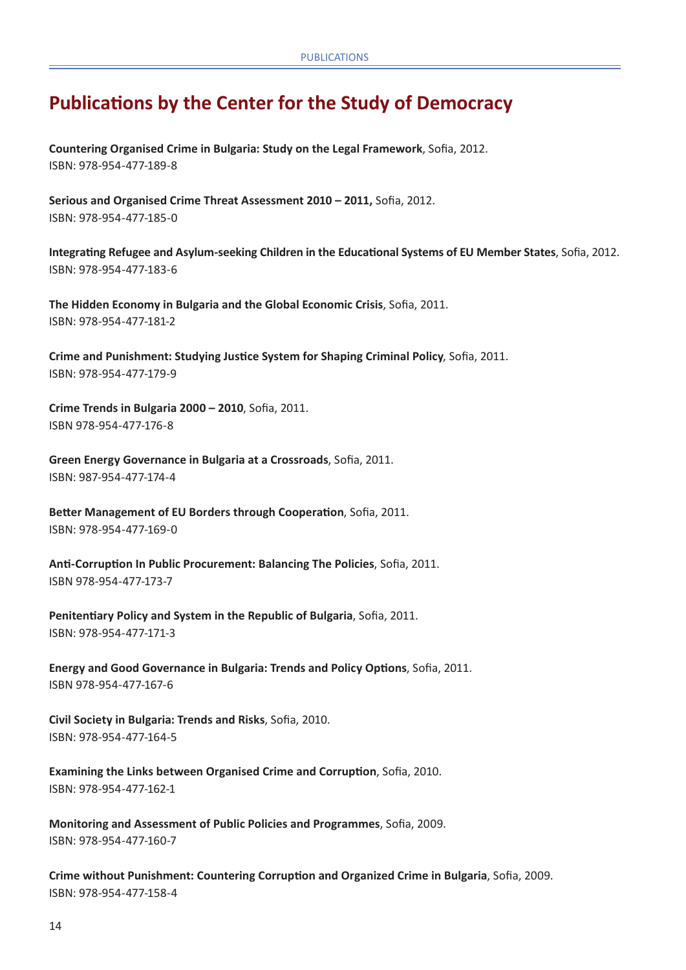# **Publications by the Center for the Study of Democracy**

**Countering Organised Crime in Bulgaria: Study on the Legal Framework**, Sofia, 2012. ISBN: 978-954-477-189-8

**Serious and Organised Crime Threat Assessment 2010 – 2011,** Sofia, 2012. ISBN: 978-954-477-185-0

**Integrating refugee and asylum-seeking children in the educational systems of EU Member States**, Sofia, 2012. ISBN: 978-954-477-183-6

**The Hidden Economy in Bulgaria and the Global Economic Crisis**, Sofia, 2011. ISBN: 978-954-477-181-2

**Crime and Punishment: Studying Justice System for Shaping Criminal Policy**, Sofia, 2011. ISBN: 978-954-477-179-9

**Crime Trends in Bulgaria 2000 – 2010**, Sofia, 2011. ISBN 978-954-477-176-8

**Green Energy Governance in Bulgaria at a Crossroads**, Sofia, 2011. ISBN: 987-954-477-174-4

**Better Management of EU Borders through Cooperation**, Sofia, 2011. ISBN: 978-954-477-169-0

**Anti-Corruption In Public Procurement: Balancing The Policies**, Sofia, 2011. ISBN 978-954-477-173-7

**Penitentiary Policy and System in the Republic of Bulgaria**, Sofia, 2011. ISBN: 978-954-477-171-3

**Energy and Good Governance in Bulgaria: Trends and Policy Options**, Sofia, 2011. ISBN 978-954-477-167-6

**Civil Society in Bulgaria: Trends and Risks**, Sofia, 2010. ISBN: 978-954-477-164-5

**Examining the Links between Organised Crime and Corruption**, Sofia, 2010. ISBN: 978-954-477-162-1

**Monitoring and Assessment of Public Policies and Programmes**, Sofia, 2009. ISBN: 978-954-477-160-7

**Crime without Punishment: Countering Corruption and Organized Crime in Bulgaria**, Sofia, 2009. ISBN: 978-954-477-158-4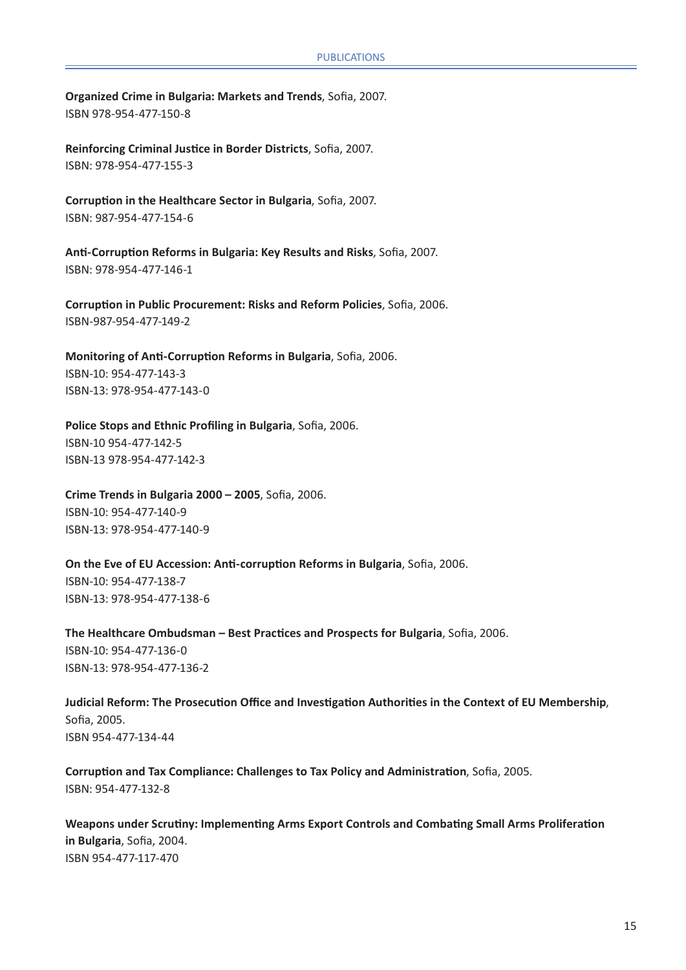**Organized Crime in Bulgaria: Markets and Trends**, Sofia, 2007. ISBN 978-954-477-150-8

**Reinforcing Criminal Justice in Border Districts**, Sofia, 2007. ISBN: 978-954-477-155-3

**Corruption in the Healthcare Sector in Bulgaria**, Sofia, 2007. ISBN: 987-954-477-154-6

**Anti-Corruption Reforms in Bulgaria: Key Results and Risks**, Sofia, 2007. ISBN: 978-954-477-146-1

**Corruption in Public Procurement: Risks and Reform Policies**, Sofia, 2006. ISBN-987-954-477-149-2

**Monitoring of Anti-Corruption Reforms in Bulgaria**, Sofia, 2006. ISBN-10: 954-477-143-3 ISBN-13: 978-954-477-143-0

**Police Stops and Ethnic Profiling in Bulgaria**, Sofia, 2006. ISBN-10 954-477-142-5 ISBN-13 978-954-477-142-3

**Crime Trends in Bulgaria 2000 – 2005**, Sofia, 2006. ISBN-10: 954-477-140-9 ISBN-13: 978-954-477-140-9

**On the Eve of EU Accession: Anti-corruption Reforms in Bulgaria**, Sofia, 2006. ISBN-10: 954-477-138-7 ISBN-13: 978-954-477-138-6

**The Healthcare Ombudsman – Best Practices and Prospects for Bulgaria**, Sofia, 2006. ISBN-10: 954-477-136-0 ISBN-13: 978-954-477-136-2

**Judicial Reform: The Prosecution Office and Investigation Authorities in the Context of EU Membership**, Sofia, 2005. ISBN 954-477-134-44

**Corruption and Tax Compliance: Challenges to Tax Policy and Administration**, Sofia, 2005. ISBN: 954-477-132-8

**Weapons under Scrutiny: Implementing Arms Export Controls and Combating Small Arms Proliferation in Bulgaria**, Sofia, 2004. ISBN 954-477-117-470